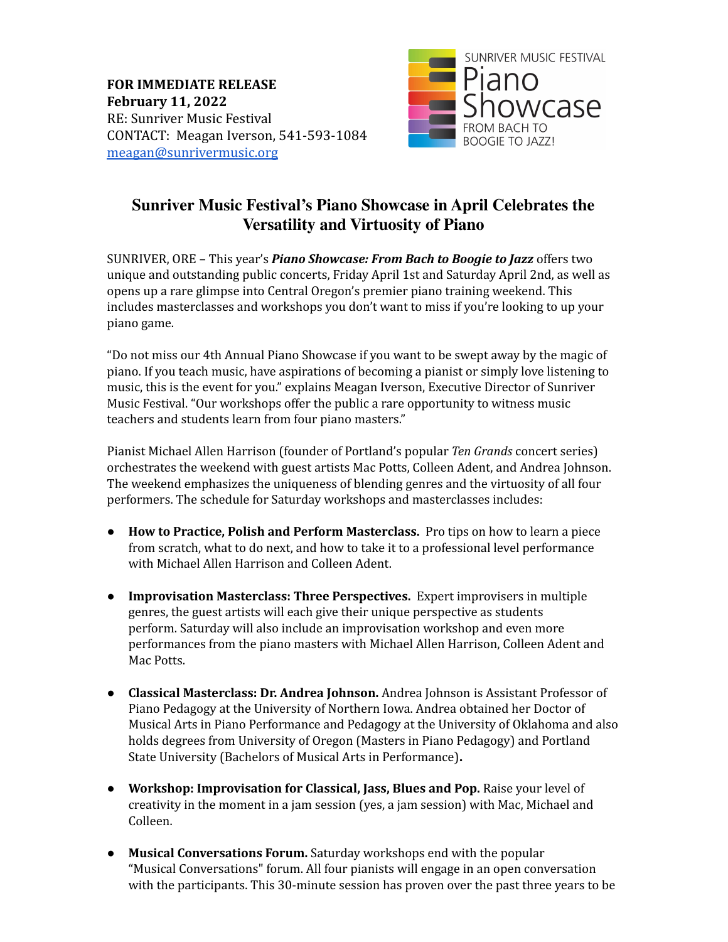**FOR IMMEDIATE RELEASE February 11, 2022** RE: Sunriver Music Festival CONTACT: Meagan Iverson, 541-593-1084 [meagan@sunrivermusic.org](mailto:meagan@sunrivermusic.org)



## **Sunriver Music Festival's Piano Showcase in April Celebrates the Versatility and Virtuosity of Piano**

SUNRIVER, ORE – This year's *Piano Showcase: From Bach to Boogie to Jazz* offers two unique and outstanding public concerts, Friday April 1st and Saturday April 2nd, as well as opens up a rare glimpse into Central Oregon's premier piano training weekend. This includes masterclasses and workshops you don't want to miss if you're looking to up your piano game.

"Do not miss our 4th Annual Piano Showcase if you want to be swept away by the magic of piano. If you teach music, have aspirations of becoming a pianist or simply love listening to music, this is the event for you." explains Meagan Iverson, Executive Director of Sunriver Music Festival. "Our workshops offer the public a rare opportunity to witness music teachers and students learn from four piano masters."

Pianist Michael Allen Harrison (founder of Portland's popular *Ten Grands* concert series) orchestrates the weekend with guest artists Mac Potts, Colleen Adent, and Andrea Johnson. The weekend emphasizes the uniqueness of blending genres and the virtuosity of all four performers. The schedule for Saturday workshops and masterclasses includes:

- **How to Practice, Polish and Perform Masterclass.** Pro tips on how to learn a piece from scratch, what to do next, and how to take it to a professional level performance with Michael Allen Harrison and Colleen Adent.
- **Improvisation Masterclass: Three Perspectives.** Expert improvisers in multiple genres, the guest artists will each give their unique perspective as students perform. Saturday will also include an improvisation workshop and even more performances from the piano masters with Michael Allen Harrison, Colleen Adent and Mac Potts.
- **Classical Masterclass: Dr. Andrea Johnson.** Andrea Johnson is Assistant Professor of Piano Pedagogy at the University of Northern Iowa. Andrea obtained her Doctor of Musical Arts in Piano Performance and Pedagogy at the University of Oklahoma and also holds degrees from University of Oregon (Masters in Piano Pedagogy) and Portland State University (Bachelors of Musical Arts in Performance)**.**
- **Workshop: Improvisation for Classical, Jass, Blues and Pop.** Raise your level of creativity in the moment in a jam session (yes, a jam session) with Mac, Michael and Colleen.
- **Musical Conversations Forum.** Saturday workshops end with the popular "Musical Conversations" forum. All four pianists will engage in an open conversation with the participants. This 30-minute session has proven over the past three years to be